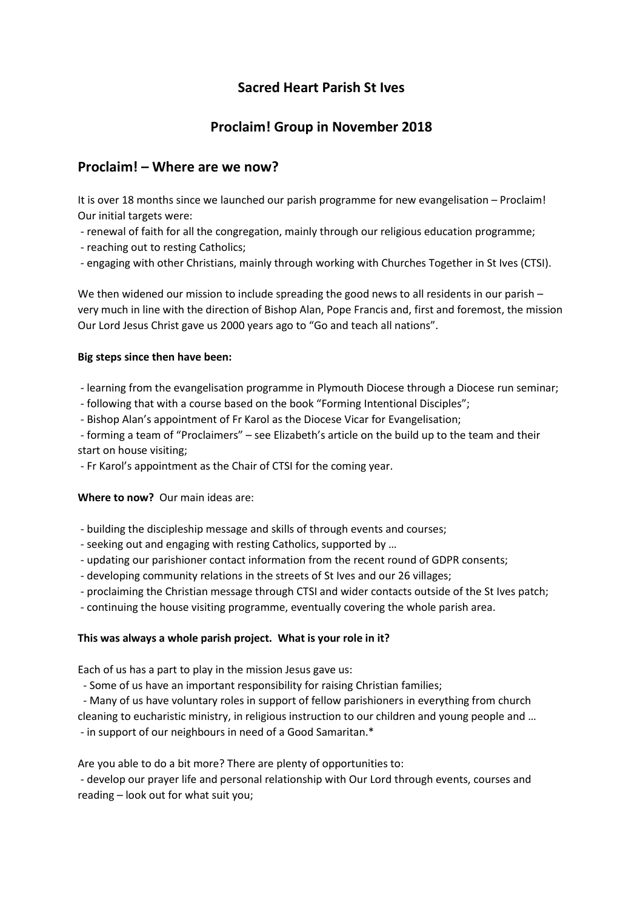# **Sacred Heart Parish St Ives**

# **Proclaim! Group in November 2018**

## **Proclaim! – Where are we now?**

It is over 18 months since we launched our parish programme for new evangelisation – Proclaim! Our initial targets were:

- renewal of faith for all the congregation, mainly through our religious education programme;
- reaching out to resting Catholics;
- engaging with other Christians, mainly through working with Churches Together in St Ives (CTSI).

We then widened our mission to include spreading the good news to all residents in our parish very much in line with the direction of Bishop Alan, Pope Francis and, first and foremost, the mission Our Lord Jesus Christ gave us 2000 years ago to "Go and teach all nations".

### **Big steps since then have been:**

- learning from the evangelisation programme in Plymouth Diocese through a Diocese run seminar;
- following that with a course based on the book "Forming Intentional Disciples";
- Bishop Alan's appointment of Fr Karol as the Diocese Vicar for Evangelisation;

- forming a team of "Proclaimers" – see Elizabeth's article on the build up to the team and their start on house visiting;

- Fr Karol's appointment as the Chair of CTSI for the coming year.

**Where to now?** Our main ideas are:

- building the discipleship message and skills of through events and courses;
- seeking out and engaging with resting Catholics, supported by …
- updating our parishioner contact information from the recent round of GDPR consents;
- developing community relations in the streets of St Ives and our 26 villages;
- proclaiming the Christian message through CTSI and wider contacts outside of the St Ives patch;
- continuing the house visiting programme, eventually covering the whole parish area.

### **This was always a whole parish project. What is your role in it?**

Each of us has a part to play in the mission Jesus gave us:

- Some of us have an important responsibility for raising Christian families;

- Many of us have voluntary roles in support of fellow parishioners in everything from church

cleaning to eucharistic ministry, in religious instruction to our children and young people and … - in support of our neighbours in need of a Good Samaritan.\*

Are you able to do a bit more? There are plenty of opportunities to:

- develop our prayer life and personal relationship with Our Lord through events, courses and reading – look out for what suit you;